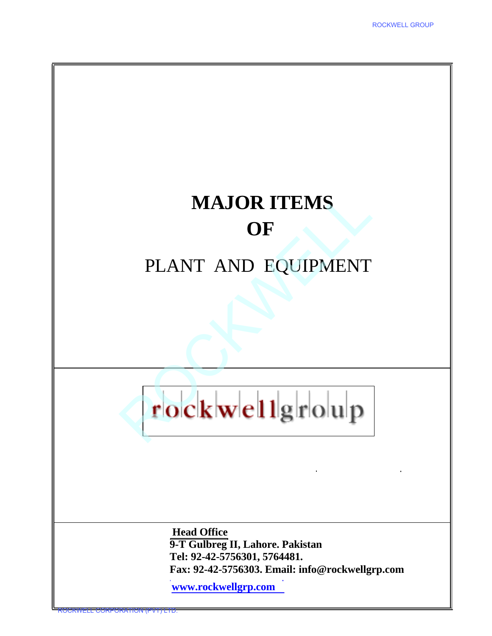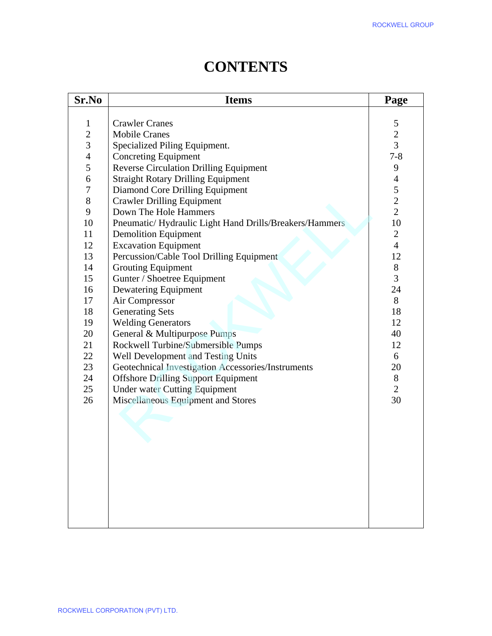|                | <b>Items</b>                                                                                     | Page           |
|----------------|--------------------------------------------------------------------------------------------------|----------------|
| $\mathbf{1}$   | <b>Crawler Cranes</b>                                                                            | 5              |
| $\overline{2}$ | <b>Mobile Cranes</b>                                                                             | $\overline{2}$ |
| $\overline{3}$ | Specialized Piling Equipment.                                                                    | $\overline{3}$ |
| $\overline{4}$ | <b>Concreting Equipment</b>                                                                      | $7 - 8$        |
| 5              | <b>Reverse Circulation Drilling Equipment</b>                                                    | 9              |
| 6              | <b>Straight Rotary Drilling Equipment</b>                                                        | $\overline{4}$ |
| $\sqrt{ }$     | Diamond Core Drilling Equipment                                                                  | 5              |
| $8\,$          | <b>Crawler Drilling Equipment</b>                                                                | $\overline{2}$ |
| 9              | Down The Hole Hammers                                                                            | $\overline{2}$ |
| 10             | Pneumatic/Hydraulic Light Hand Drills/Breakers/Hammers                                           | 10             |
| 11             | <b>Demolition Equipment</b>                                                                      | $\overline{2}$ |
| 12             | <b>Excavation Equipment</b>                                                                      | $\overline{4}$ |
| 13             | Percussion/Cable Tool Drilling Equipment                                                         | 12             |
| 14             | <b>Grouting Equipment</b>                                                                        | $8\,$          |
| 15             | Gunter / Shoetree Equipment                                                                      | 3              |
| 16             | Dewatering Equipment                                                                             | 24             |
| 17             | Air Compressor                                                                                   | 8              |
| 18             | <b>Generating Sets</b>                                                                           | 18             |
| 19             | <b>Welding Generators</b>                                                                        | 12             |
| 20             | General & Multipurpose Pumps                                                                     | 40             |
| 21             | Rockwell Turbine/Submersible Pumps                                                               | 12             |
| 22<br>23       | Well Development and Testing Units                                                               | 6              |
| 24             | Geotechnical Investigation Accessories/Instruments<br><b>Offshore Drilling Support Equipment</b> | 20<br>8        |
| 25             | <b>Under water Cutting Equipment</b>                                                             | $\overline{2}$ |
| 26             | Miscellaneous Equipment and Stores                                                               | 30             |
|                |                                                                                                  |                |
|                |                                                                                                  |                |
|                |                                                                                                  |                |
|                |                                                                                                  |                |
|                |                                                                                                  |                |
|                |                                                                                                  |                |
|                |                                                                                                  |                |
|                |                                                                                                  |                |
|                |                                                                                                  |                |
|                |                                                                                                  |                |

# **CONTENTS**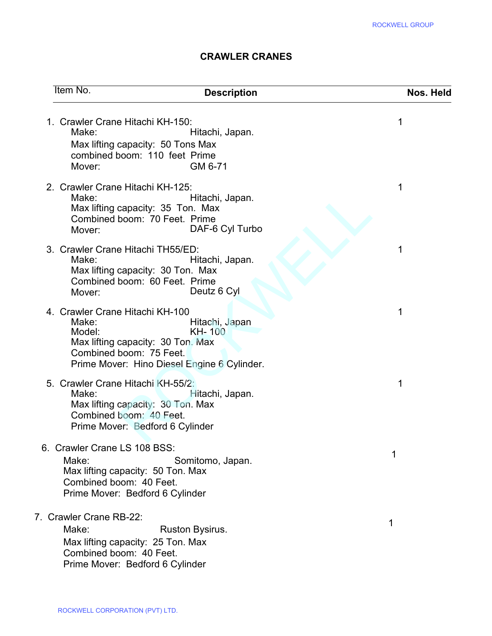### CRAWLER CRANES

|                                                                                                                                                                                                      | <b>ROCKWELL GROUP</b> |
|------------------------------------------------------------------------------------------------------------------------------------------------------------------------------------------------------|-----------------------|
| <b>CRAWLER CRANES</b>                                                                                                                                                                                |                       |
| <b>Item No.</b><br><b>Description</b>                                                                                                                                                                | Nos. Held             |
| 1. Crawler Crane Hitachi KH-150:<br>Make:<br>Hitachi, Japan.<br>Max lifting capacity: 50 Tons Max<br>combined boom: 110 feet Prime<br>GM 6-71<br>Mover:                                              | 1                     |
| 2. Crawler Crane Hitachi KH-125:<br>Make:<br>Hitachi, Japan.<br>Max lifting capacity: 35 Ton. Max<br>Combined boom: 70 Feet. Prime<br>DAF-6 Cyl Turbo<br>Mover:                                      | 1                     |
| 3. Crawler Crane Hitachi TH55/ED:<br>Make:<br>Hitachi, Japan.<br>Max lifting capacity: 30 Ton. Max<br>Combined boom: 60 Feet. Prime<br>Deutz 6 Cyl<br>Mover:                                         | 1                     |
| 4. Crawler Crane Hitachi KH-100<br>Make:<br>Hitachi, Japan<br><b>KH-100</b><br>Model:<br>Max lifting capacity: 30 Ton. Max<br>Combined boom: 75 Feet.<br>Prime Mover: Hino Diesel Engine 6 Cylinder. | 1                     |
| 5. Crawler Crane Hitachi KH-55/2:<br>Make:<br>Hitachi, Japan.<br>Max lifting capacity: 30 Ton. Max<br>Combined boom: 40 Feet.<br>Prime Mover: Bedford 6 Cylinder                                     | 1                     |
| 6. Crawler Crane LS 108 BSS:<br>Make:<br>Somitomo, Japan.<br>Max lifting capacity: 50 Ton. Max<br>Combined boom: 40 Feet.<br>Prime Mover: Bedford 6 Cylinder                                         | 1                     |
| 7. Crawler Crane RB-22:<br>Make:<br>Ruston Bysirus.<br>Max lifting capacity: 25 Ton. Max<br>Combined boom: 40 Feet.<br>Prime Mover: Bedford 6 Cylinder                                               | 1                     |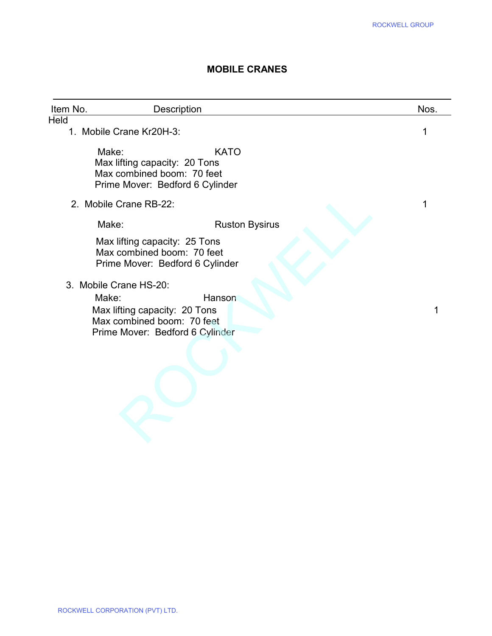#### MOBILE CRANES

|                                         |                                                                                                               | <b>ROCKWELL GROUP</b> |
|-----------------------------------------|---------------------------------------------------------------------------------------------------------------|-----------------------|
|                                         | <b>MOBILE CRANES</b>                                                                                          |                       |
| Item No.                                | Description                                                                                                   | Nos.                  |
| <b>Held</b><br>1. Mobile Crane Kr20H-3: |                                                                                                               | 1                     |
| Make:                                   | <b>KATO</b><br>Max lifting capacity: 20 Tons<br>Max combined boom: 70 feet<br>Prime Mover: Bedford 6 Cylinder |                       |
| 2. Mobile Crane RB-22:                  |                                                                                                               | 1                     |
| Make:                                   | <b>Ruston Bysirus</b>                                                                                         |                       |
|                                         | Max lifting capacity: 25 Tons<br>Max combined boom: 70 feet<br>Prime Mover: Bedford 6 Cylinder                |                       |
| 3. Mobile Crane HS-20:                  |                                                                                                               |                       |
| Make:                                   | Hanson<br>Max lifting capacity: 20 Tons<br>Max combined boom: 70 feet<br>Prime Mover: Bedford 6 Cylinder      | 1                     |
|                                         |                                                                                                               |                       |
|                                         |                                                                                                               |                       |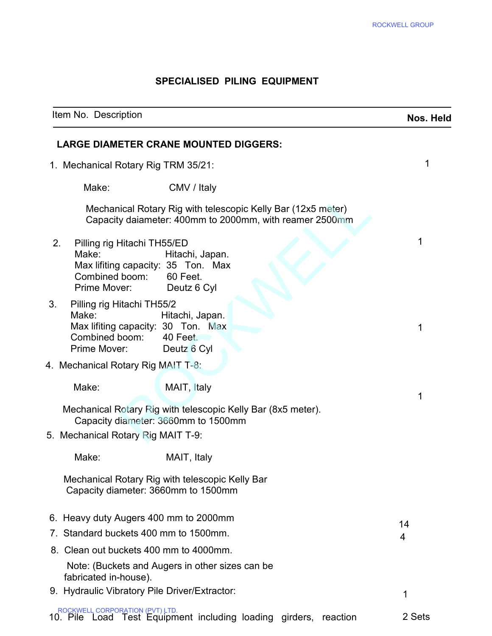#### SPECIALISED PILING EQUIPMENT

|                                                                                                                                                                 | <b>ROCKWELL GROUP</b> |
|-----------------------------------------------------------------------------------------------------------------------------------------------------------------|-----------------------|
| <b>SPECIALISED PILING EQUIPMENT</b>                                                                                                                             |                       |
| Item No. Description                                                                                                                                            | Nos. Held             |
| <b>LARGE DIAMETER CRANE MOUNTED DIGGERS:</b>                                                                                                                    |                       |
| 1. Mechanical Rotary Rig TRM 35/21:                                                                                                                             | 1                     |
| Make:<br>CMV / Italy                                                                                                                                            |                       |
| Mechanical Rotary Rig with telescopic Kelly Bar (12x5 meter)<br>Capacity daiameter: 400mm to 2000mm, with reamer 2500mm                                         |                       |
| 2.<br>Pilling rig Hitachi TH55/ED<br>Make:<br>Hitachi, Japan.<br>Max lifiting capacity: 35 Ton. Max<br>Combined boom: 60 Feet.<br>Prime Mover:<br>Deutz 6 Cyl   | 1                     |
| 3.<br>Pilling rig Hitachi TH55/2<br>Make:<br>Hitachi, Japan.<br>Max lifiting capacity: 30 Ton. Max<br>Combined boom:<br>40 Feet.<br>Prime Mover:<br>Deutz 6 Cyl | 1                     |
| 4. Mechanical Rotary Rig MAIT T-8.                                                                                                                              |                       |
| Make:<br>MAIT, Italy                                                                                                                                            | 1                     |
| Mechanical Rotary Rig with telescopic Kelly Bar (8x5 meter).<br>Capacity diameter: 3660mm to 1500mm<br>5. Mechanical Rotary Rig MAIT T-9:                       |                       |
| Make:<br>MAIT, Italy                                                                                                                                            |                       |
| Mechanical Rotary Rig with telescopic Kelly Bar<br>Capacity diameter: 3660mm to 1500mm                                                                          |                       |
| 6. Heavy duty Augers 400 mm to 2000mm<br>7. Standard buckets 400 mm to 1500mm.                                                                                  | 14<br>4               |
| 8. Clean out buckets 400 mm to 4000mm.                                                                                                                          |                       |
| Note: (Buckets and Augers in other sizes can be<br>fabricated in-house).<br>9. Hydraulic Vibratory Pile Driver/Extractor:                                       |                       |
| ROCKWELL CORPORATION (PVT) LTD.<br>1. Pile Load Test Equipment including loading girders, reaction<br>10. Pile                                                  | 1<br>2 Sets           |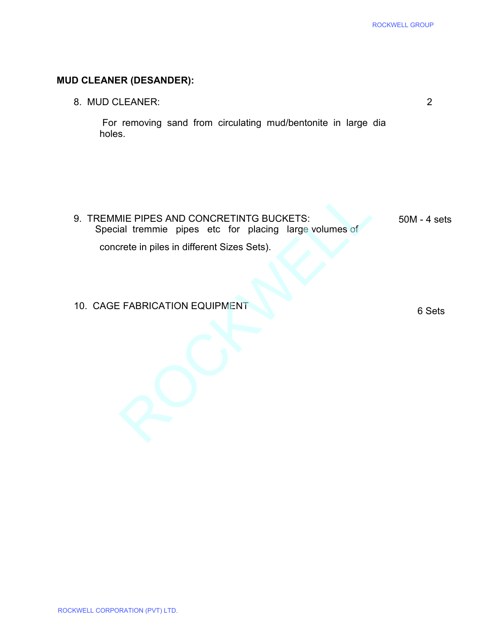# MUD CLEANER (DESANDER):

| <b>ROCKWELL GROUP</b>                                         |
|---------------------------------------------------------------|
|                                                               |
|                                                               |
| $\overline{2}$                                                |
| For removing sand from circulating mud/bentonite in large dia |
|                                                               |
| $50M - 4$ sets                                                |
| 6 Sets                                                        |
|                                                               |
|                                                               |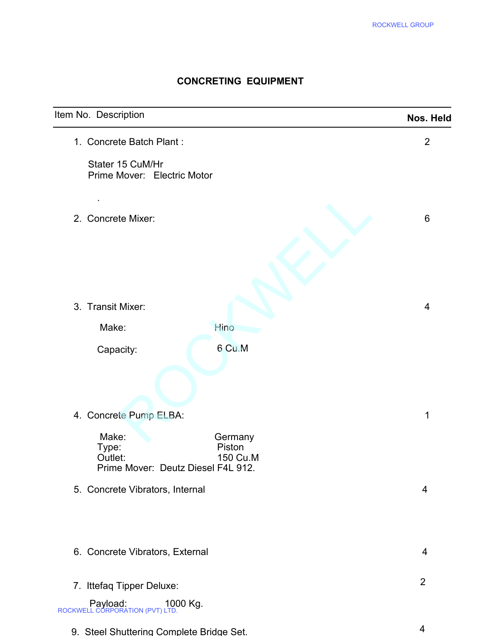## CONCRETING EQUIPMENT

|                                                                                           |                               | ROCKWELL GROUP |
|-------------------------------------------------------------------------------------------|-------------------------------|----------------|
|                                                                                           | <b>CONCRETING EQUIPMENT</b>   |                |
| Item No. Description                                                                      |                               | Nos. Held      |
| 1. Concrete Batch Plant:                                                                  |                               | $\overline{2}$ |
| Stater 15 CuM/Hr<br>Prime Mover: Electric Motor                                           |                               |                |
| 2. Concrete Mixer:                                                                        |                               | 6              |
| 3. Transit Mixer:                                                                         |                               | 4              |
| Make:                                                                                     | Hino                          |                |
| Capacity:                                                                                 | 6 Cu.M                        |                |
| 4. Concrete Pump ELBA:<br>Make:<br>Type:<br>Outlet:<br>Prime Mover: Deutz Diesel F4L 912. | Germany<br>Piston<br>150 Cu.M | 1              |
| 5. Concrete Vibrators, Internal                                                           |                               | $\overline{4}$ |
| 6. Concrete Vibrators, External                                                           |                               | $\overline{4}$ |
| 7. Ittefaq Tipper Deluxe:                                                                 |                               | $\overline{2}$ |
| Payload: 1000 Kg.<br>ROCKWELL CORPORATION (PVT) LTD.                                      |                               |                |
| 9. Steel Shuttering Complete Bridge Set.                                                  |                               | $\overline{4}$ |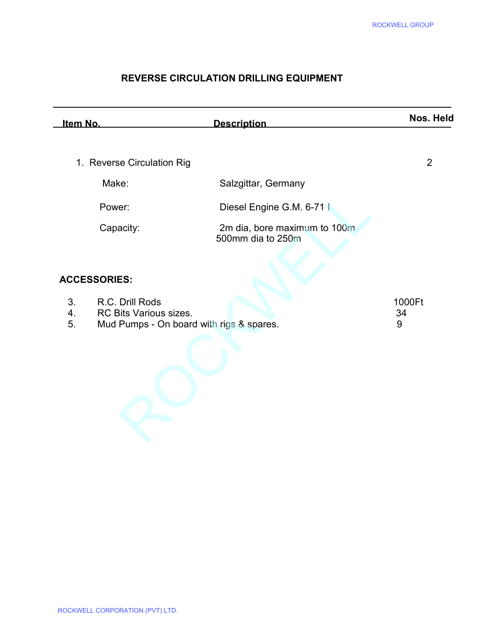## REVERSE CIRCULATION DRILLING EQUIPMENT

|                            |                                                                                       |                                                   | <b>ROCKWELL GROUP</b> |
|----------------------------|---------------------------------------------------------------------------------------|---------------------------------------------------|-----------------------|
|                            |                                                                                       | <b>REVERSE CIRCULATION DRILLING EQUIPMENT</b>     |                       |
| Item No.                   |                                                                                       | <b>Description</b>                                | Nos. Held             |
|                            | 1. Reverse Circulation Rig                                                            |                                                   | $\overline{2}$        |
|                            | Make:                                                                                 | Salzgittar, Germany                               |                       |
|                            | Power:                                                                                | Diesel Engine G.M. 6-71                           |                       |
|                            | Capacity:                                                                             | 2m dia, bore maximum to 100m<br>500mm dia to 250m |                       |
|                            | <b>ACCESSORIES:</b>                                                                   |                                                   |                       |
| 3 <sub>1</sub><br>4.<br>5. | R.C. Drill Rods<br>RC Bits Various sizes.<br>Mud Pumps - On board with rigs & spares. |                                                   | 1000Ft<br>34<br>9     |
|                            |                                                                                       |                                                   |                       |

| R.C. Drill Rods                          | 1000Ft |
|------------------------------------------|--------|
| RC Bits Various sizes.                   | 34     |
| Mud Pumps - On board with rigs & spares. |        |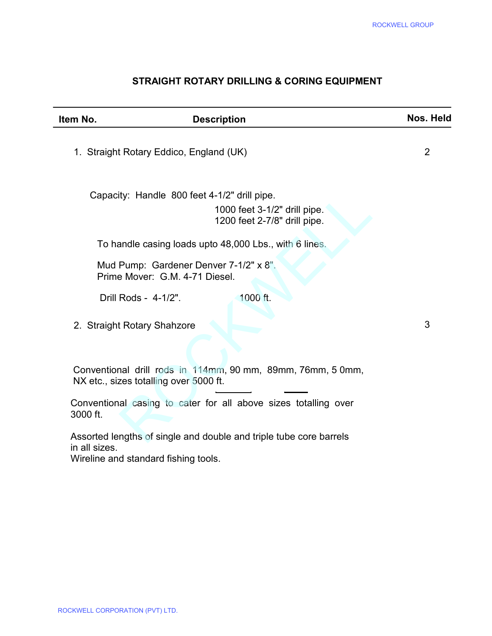## STRAIGHT ROTARY DRILLING & CORING EQUIPMENT

| Item No.      | <b>Description</b>                                                       |                                                                    | Nos. Held |
|---------------|--------------------------------------------------------------------------|--------------------------------------------------------------------|-----------|
|               | 1. Straight Rotary Eddico, England (UK)                                  |                                                                    | 2         |
|               | Capacity: Handle 800 feet 4-1/2" drill pipe.                             | 1000 feet 3-1/2" drill pipe.<br>1200 feet 2-7/8" drill pipe.       |           |
|               |                                                                          | To handle casing loads upto 48,000 Lbs., with 6 lines.             |           |
|               | Mud Pump: Gardener Denver 7-1/2" x 8".<br>Prime Mover: G.M. 4-71 Diesel. |                                                                    |           |
|               | Drill Rods - 4-1/2".                                                     | 1000 ft.                                                           |           |
|               | 2. Straight Rotary Shahzore                                              |                                                                    | 3         |
|               | NX etc., sizes totalling over 5000 ft.                                   | Conventional drill rods in 114mm, 90 mm, 89mm, 76mm, 5 0mm,        |           |
| 3000 ft.      |                                                                          | Conventional casing to cater for all above sizes totalling over    |           |
| in all sizes. | Wireline and standard fishing tools.                                     | Assorted lengths of single and double and triple tube core barrels |           |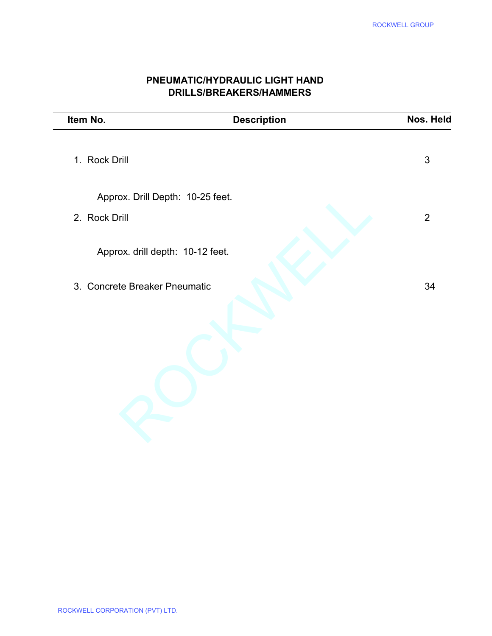|                                  |                                                                  | <b>ROCKWELL GROUP</b> |
|----------------------------------|------------------------------------------------------------------|-----------------------|
|                                  | PNEUMATIC/HYDRAULIC LIGHT HAND<br><b>DRILLS/BREAKERS/HAMMERS</b> |                       |
| Item No.                         | <b>Description</b>                                               | Nos. Held             |
| 1. Rock Drill                    |                                                                  | 3                     |
| Approx. Drill Depth: 10-25 feet. |                                                                  |                       |
| 2. Rock Drill                    |                                                                  | $\overline{2}$        |
| Approx. drill depth: 10-12 feet. |                                                                  |                       |
| 3. Concrete Breaker Pneumatic    |                                                                  | 34                    |
|                                  |                                                                  |                       |
|                                  |                                                                  |                       |

## PNEUMATIC/HYDRAULIC LIGHT HAND DRILLS/BREAKERS/HAMMERS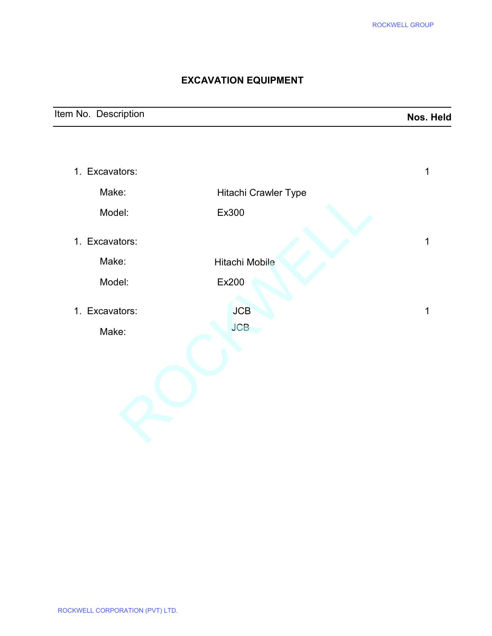### EXCAVATION EQUIPMENT

| Item No. Description | Nos. Held |
|----------------------|-----------|
|                      |           |

|                         |                             | <b>ROCKWELL GROUP</b> |
|-------------------------|-----------------------------|-----------------------|
|                         | <b>EXCAVATION EQUIPMENT</b> |                       |
| m No. Description       |                             | Nos. H                |
|                         |                             |                       |
| 1. Excavators:          |                             | $\mathbf{1}$          |
| Make:                   | Hitachi Crawler Type        |                       |
| Model:                  | Ex300                       |                       |
| 1. Excavators:          |                             | $\mathbf 1$           |
| Make:                   | Hitachi Mobile              |                       |
| Model:                  | Ex200                       |                       |
| 1. Excavators:<br>Make: | <b>JCB</b><br><b>JCB</b>    | $\mathbf 1$           |
|                         |                             |                       |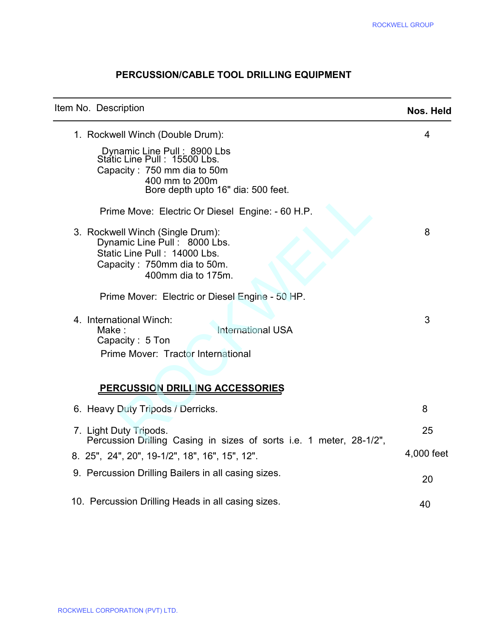## PERCUSSION/CABLE TOOL DRILLING EQUIPMENT

|                                                                                                                                                                                                                    | <b>ROCKWELL GROUP</b> |
|--------------------------------------------------------------------------------------------------------------------------------------------------------------------------------------------------------------------|-----------------------|
| PERCUSSION/CABLE TOOL DRILLING EQUIPMENT                                                                                                                                                                           |                       |
| Item No. Description                                                                                                                                                                                               | Nos. Held             |
| 1. Rockwell Winch (Double Drum):<br>Dynamic Line Pull: 8900 Lbs<br>Static Line Pull: 15500 Lbs.<br>Capacity: 750 mm dia to 50m<br>400 mm to 200m<br>Bore depth upto 16" dia: 500 feet.                             | 4                     |
| Prime Move: Electric Or Diesel Engine: - 60 H.P.<br>3. Rockwell Winch (Single Drum):<br>Dynamic Line Pull: 8000 Lbs.<br>Static Line Pull: 14000 Lbs.<br>Capacity: 750mm dia to 50m.<br>400mm dia to 175m.          | 8                     |
| Prime Mover: Electric or Diesel Engine - 50 HP.<br>4. International Winch:<br><b>International USA</b><br>Make:<br>Capacity: 5 Ton<br>Prime Mover: Tractor International<br><b>PERCUSSION DRILLING ACCESSORIES</b> | 3                     |
| 6. Heavy Duty Tripods / Derricks.                                                                                                                                                                                  | 8                     |
| 7. Light Duty Tripods.<br>Percussion Drilling Casing in sizes of sorts i.e. 1 meter, 28-1/2",<br>8. 25", 24", 20", 19-1/2", 18", 16", 15", 12".                                                                    | 25<br>4,000 feet      |
| 9. Percussion Drilling Bailers in all casing sizes.                                                                                                                                                                | 20                    |
| 10. Percussion Drilling Heads in all casing sizes.                                                                                                                                                                 | 40                    |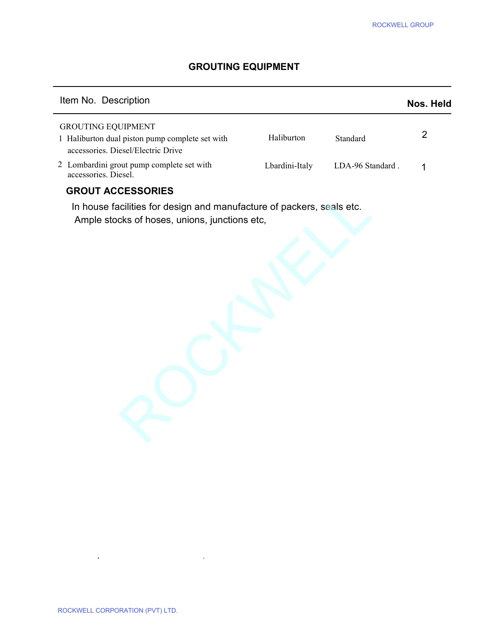#### GROUTING EQUIPMENT

|                                                                                                                        |                |                  | <b>ROCKWELL GROUP</b> |
|------------------------------------------------------------------------------------------------------------------------|----------------|------------------|-----------------------|
| <b>GROUTING EQUIPMENT</b>                                                                                              |                |                  |                       |
| Item No. Description                                                                                                   |                |                  | Nos. Held             |
| <b>GROUTING EQUIPMENT</b><br>1 Haliburton dual piston pump complete set with<br>accessories. Diesel/Electric Drive     | Haliburton     | Standard         | $\overline{2}$        |
| 2 Lombardini grout pump complete set with<br>accessories. Diesel.                                                      | Lbardini-Italy | LDA-96 Standard. | 1                     |
| In house facilities for design and manufacture of packers, seals etc.<br>Ample stocks of hoses, unions, junctions etc, |                |                  |                       |
|                                                                                                                        |                |                  |                       |

## GROUT ACCESSORIES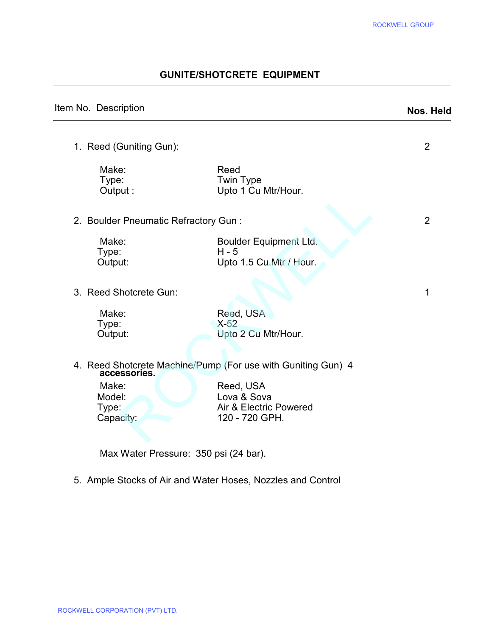## GUNITE/SHOTCRETE EQUIPMENT

| Nos. Held      |
|----------------|
| 2              |
|                |
| $\overline{2}$ |
|                |
| 1              |
|                |
|                |
|                |
|                |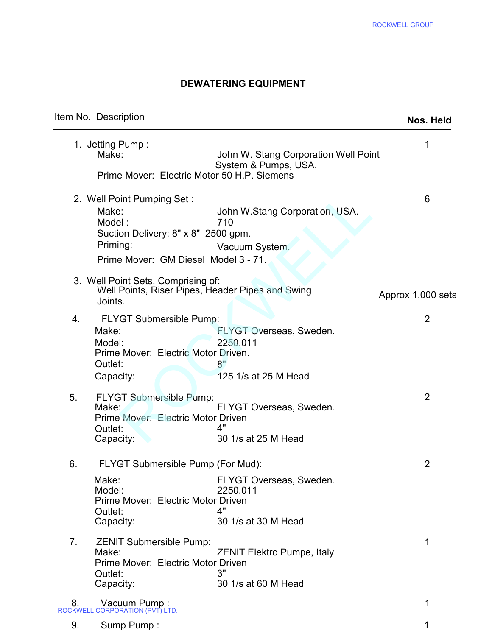### DEWATERING EQUIPMENT

|                |                                                                                                                                          |                                                                   | <b>ROCKWELL GROUP</b> |
|----------------|------------------------------------------------------------------------------------------------------------------------------------------|-------------------------------------------------------------------|-----------------------|
|                |                                                                                                                                          | <b>DEWATERING EQUIPMENT</b>                                       |                       |
|                | Item No. Description                                                                                                                     |                                                                   | Nos. Held             |
|                | 1. Jetting Pump:<br>Make:<br>Prime Mover: Electric Motor 50 H.P. Siemens                                                                 | John W. Stang Corporation Well Point<br>System & Pumps, USA.      | 1                     |
|                | 2. Well Point Pumping Set:<br>Make:<br>Model:<br>Suction Delivery: 8" x 8" 2500 gpm.<br>Priming:<br>Prime Mover: GM Diesel Model 3 - 71. | John W.Stang Corporation, USA.<br>710<br>Vacuum System.           | 6                     |
|                | 3. Well Point Sets, Comprising of:<br>Well Points, Riser Pipes, Header Pipes and Swing<br>Joints.                                        |                                                                   | Approx 1,000 sets     |
| 4.             | FLYGT Submersible Pump:<br>Make:<br>Model:<br>Prime Mover: Electric Motor Driven.<br>Outlet:<br>Capacity:                                | FLYGT Overseas, Sweden.<br>2250.011<br>8"<br>125 1/s at 25 M Head | $\overline{2}$        |
| 5.             | <b>FLYGT Submersible Pump:</b><br>Make:<br>Prime Mover: Electric Motor Driven<br>Outlet:<br>Capacity:                                    | FLYGT Overseas, Sweden.<br>4"<br>30 1/s at 25 M Head              | 2                     |
| 6.             | FLYGT Submersible Pump (For Mud):<br>Make:<br>Model:<br>Prime Mover: Electric Motor Driven<br>Outlet:<br>Capacity:                       | FLYGT Overseas, Sweden.<br>2250.011<br>4"<br>30 1/s at 30 M Head  | 2                     |
| 7 <sub>1</sub> | <b>ZENIT Submersible Pump:</b><br>Make:<br>Prime Mover: Electric Motor Driven<br>Outlet:<br>Capacity:                                    | <b>ZENIT Elektro Pumpe, Italy</b><br>3"<br>30 1/s at 60 M Head    | 1                     |
|                | 8. Vacuum Pump:<br>ROCKWELL CORPORATION (PVT) LTD.                                                                                       |                                                                   | 1                     |
| 9.             | Sump Pump:                                                                                                                               |                                                                   | 1                     |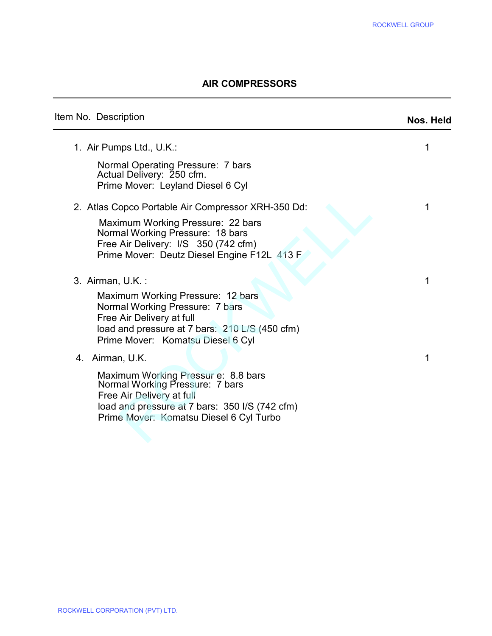#### AIR COMPRESSORS

|                                                                                                                                                                                                                     | <b>ROCKWELL GROUP</b> |
|---------------------------------------------------------------------------------------------------------------------------------------------------------------------------------------------------------------------|-----------------------|
| <b>AIR COMPRESSORS</b>                                                                                                                                                                                              |                       |
| Item No. Description                                                                                                                                                                                                | Nos. Held             |
| 1. Air Pumps Ltd., U.K.:<br>Normal Operating Pressure: 7 bars<br>Actual Delivery: 250 cfm.<br>Prime Mover: Leyland Diesel 6 Cyl                                                                                     | 1                     |
| 2. Atlas Copco Portable Air Compressor XRH-350 Dd:<br>Maximum Working Pressure: 22 bars<br>Normal Working Pressure: 18 bars<br>Free Air Delivery: I/S 350 (742 cfm)<br>Prime Mover: Deutz Diesel Engine F12L 413 F  | 1                     |
| 3. Airman, U.K.:<br>Maximum Working Pressure: 12 bars<br>Normal Working Pressure: 7 bars<br>Free Air Delivery at full<br>load and pressure at 7 bars: 210 L/S (450 cfm)<br>Prime Mover: Komatsu Diesel 6 Cyl        | 1                     |
| 4. Airman, U.K.<br>Maximum Working Pressur e: 8.8 bars<br>Normal Working Pressure: 7 bars<br>Free Air Delivery at full<br>load and pressure at 7 bars: 350 I/S (742 cfm)<br>Prime Mover: Komatsu Diesel 6 Cyl Turbo | 1                     |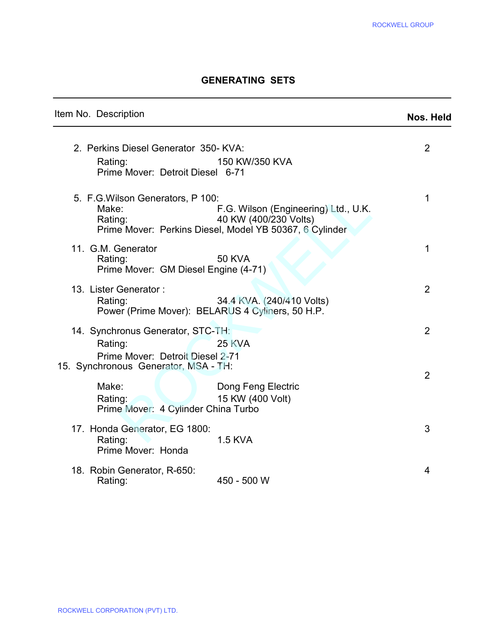#### GENERATING SETS

# Item No. Description Noster and American control of the Mos. Held 2. Perkins Diesel Generator 350- KVA: 2 Rating: 150 KW/350 KVA Prime Mover: Detroit Diesel 6-71 5. F.G.Wilson Generators, P 100:<br>Make: 15. F.G. Wilson (Engineering) Ltd., U.K. F.G. Wilson (Engineering) Ltd., U.K. Rating: 40 KW (400/230 Volts) Prime Mover: Perkins Diesel, Model YB 50367, 6 Cylinder 11. G.M. Generator 1 Rating: 50 KVA Prime Mover: GM Diesel Engine (4-71) 13. Lister Generator : 2 Rating: 34.4 KVA. (240/410 Volts) Power (Prime Mover): BELARUS 4 Cyliners, 50 H.P. 14. Synchronus Generator, STC-TH: 2 Rating: 25 KVA Prime Mover: Detroit Diesel 2-71 15. Synchronous Generator, MSA - TH: 2 Make: **Nake:** Dong Feng Electric Rating: 15 KW (400 Volt) Prime Mover: 4 Cylinder China Turbo 17. Honda Generator, EG 1800: 3 Rating: 1.5 KVA Prime Mover: Honda 18. Robin Generator, R-650:<br>Rating: 450 - 500 W  $450 - 500 W$ GENERATING SETS<br>
Frigg:<br>
Tription **Nos.** Hotel Secure 250-KVA:<br>
2 (1)<br>
Rockwell Generators, P 100:<br>
Poliver: Detroit Diesel 6-71<br>
Son Generators, P 100:<br>
P. G. Wilson (Engineering) Ltd., U.K.<br>
10 KW (400/230 Volts)<br>
2: 40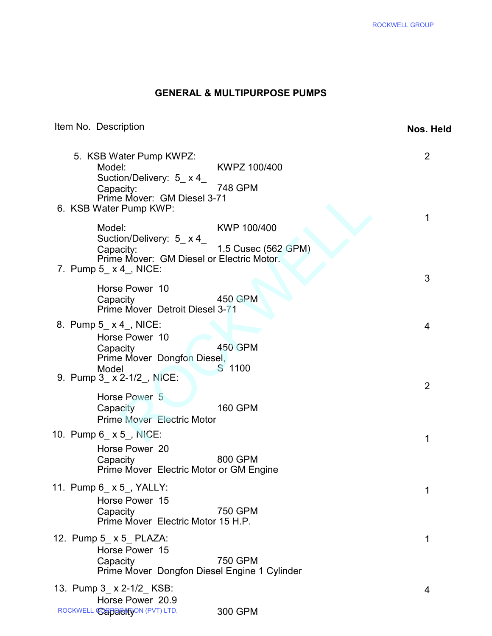#### GENERAL & MULTIPURPOSE PUMPS

|                                                                                                                                     |                                         | <b>ROCKWELL GROUP</b> |
|-------------------------------------------------------------------------------------------------------------------------------------|-----------------------------------------|-----------------------|
|                                                                                                                                     |                                         |                       |
|                                                                                                                                     | <b>GENERAL &amp; MULTIPURPOSE PUMPS</b> |                       |
| Item No. Description                                                                                                                |                                         | Nos. Held             |
| 5. KSB Water Pump KWPZ:<br>Model:<br>Suction/Delivery: 5_x 4_<br>Capacity:<br>Prime Mover: GM Diesel 3-71<br>6. KSB Water Pump KWP: | KWPZ 100/400<br>748 GPM                 | 2                     |
| Model:<br>Suction/Delivery: 5_x 4_<br>Capacity:<br>Prime Mover: GM Diesel or Electric Motor.<br>7. Pump $5 \times 4$ , NICE:        | KWP 100/400<br>1.5 Cusec (562 GPM)      |                       |
| Horse Power 10<br>Capacity<br>Prime Mover Detroit Diesel 3-71                                                                       | <b>450 GPM</b>                          | 3                     |
| 8. Pump 5_x 4_, NICE:<br>Horse Power 10<br>Capacity<br>Prime Mover Dongfon Diesel,<br>Model<br>9. Pump 3 x 2-1/2, NICE:             | <b>450 GPM</b><br>S 1100                | 4                     |
| Horse Power 5<br>Capacity<br><b>Prime Mover Electric Motor</b>                                                                      | <b>160 GPM</b>                          | $\overline{2}$        |
| 10. Pump 6_ x 5_, NICE:<br>Horse Power 20<br>Capacity<br>Prime Mover Electric Motor or GM Engine                                    | 800 GPM                                 | 1                     |
| 11. Pump 6_ x 5_, YALLY:<br>Horse Power 15<br>Capacity<br>Prime Mover Electric Motor 15 H.P.                                        | 750 GPM                                 | 1                     |
| 12. Pump 5_x 5_PLAZA:<br>Horse Power 15<br>Capacity<br>Prime Mover Dongfon Diesel Engine 1 Cylinder                                 | 750 GPM                                 | 1                     |
| 13. Pump 3_ x 2-1/2_ KSB:<br>Horse Power 20.9<br>ROCKWELL CORPORATION (PVT) LTD.                                                    | 300 GPM                                 | 4                     |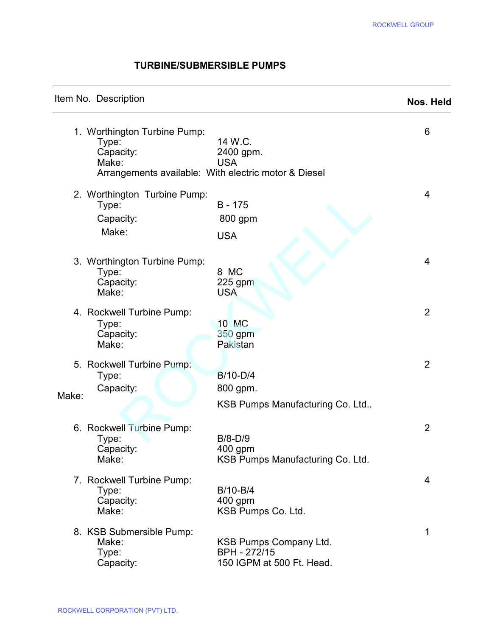### TURBINE/SUBMERSIBLE PUMPS

|  |  | Item No. Description |  |
|--|--|----------------------|--|
|--|--|----------------------|--|

 $\overline{\phantom{a}}$ 

 $\ddot{\phantom{a}}$ 

# Nos. Held

|                                                             |                                                                                            | <b>ROCKWELL GROUP</b> |
|-------------------------------------------------------------|--------------------------------------------------------------------------------------------|-----------------------|
|                                                             | <b>TURBINE/SUBMERSIBLE PUMPS</b>                                                           |                       |
| Item No. Description                                        |                                                                                            | Nos. Held             |
| 1. Worthington Turbine Pump:<br>Type:<br>Capacity:<br>Make: | 14 W.C.<br>2400 gpm.<br><b>USA</b><br>Arrangements available: With electric motor & Diesel | 6                     |
| 2. Worthington Turbine Pump:<br>Type:<br>Capacity:<br>Make: | $B - 175$<br>800 gpm<br><b>USA</b>                                                         | 4                     |
| 3. Worthington Turbine Pump:<br>Type:<br>Capacity:<br>Make: | 8 MC<br>$225$ gpm<br><b>USA</b>                                                            | 4                     |
| 4. Rockwell Turbine Pump:<br>Type:<br>Capacity:<br>Make:    | 10 MC<br>350 gpm<br>Pakistan                                                               | $\overline{2}$        |
| 5. Rockwell Turbine Pump:<br>Type:<br>Capacity:<br>Make:    | B/10-D/4<br>800 gpm.<br>KSB Pumps Manufacturing Co. Ltd                                    | 2                     |
| 6. Rockwell Turbine Pump:<br>Type:<br>Capacity:<br>Make:    | $B/8-D/9$<br>400 gpm<br>KSB Pumps Manufacturing Co. Ltd.                                   | 2                     |
| 7. Rockwell Turbine Pump:<br>Type:<br>Capacity:<br>Make:    | B/10-B/4<br>400 gpm<br>KSB Pumps Co. Ltd.                                                  | 4                     |
| 8. KSB Submersible Pump:<br>Make:<br>Type:<br>Capacity:     | KSB Pumps Company Ltd.<br>BPH - 272/15<br>150 IGPM at 500 Ft. Head.                        | 1                     |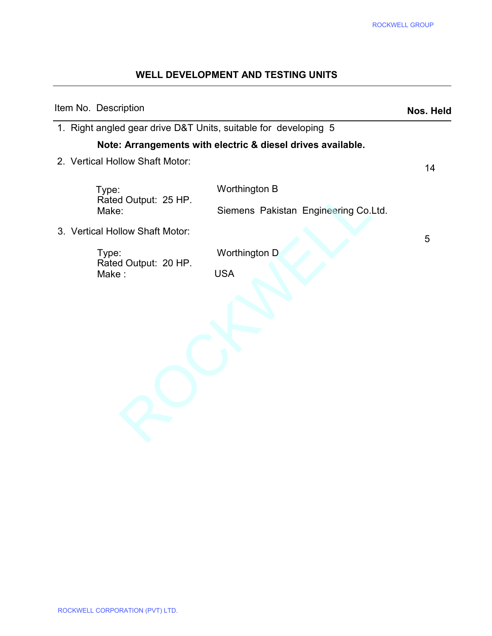## WELL DEVELOPMENT AND TESTING UNITS

|                                 | WELL DEVELOPMENT AND TESTING UNITS                              | <b>ROCKWELL GROUP</b> |
|---------------------------------|-----------------------------------------------------------------|-----------------------|
| Item No. Description            |                                                                 | Nos. Held             |
|                                 | 1. Right angled gear drive D&T Units, suitable for developing 5 |                       |
|                                 | Note: Arrangements with electric & diesel drives available.     |                       |
| 2. Vertical Hollow Shaft Motor: |                                                                 | 14                    |
| Type:<br>Rated Output: 25 HP.   | Worthington B                                                   |                       |
| Make:                           | Siemens Pakistan Engineering Co.Ltd.                            |                       |
| 3. Vertical Hollow Shaft Motor: |                                                                 | 5                     |
| Type:<br>Rated Output: 20 HP.   | Worthington D                                                   |                       |
| Make:                           | <b>USA</b>                                                      |                       |
|                                 |                                                                 |                       |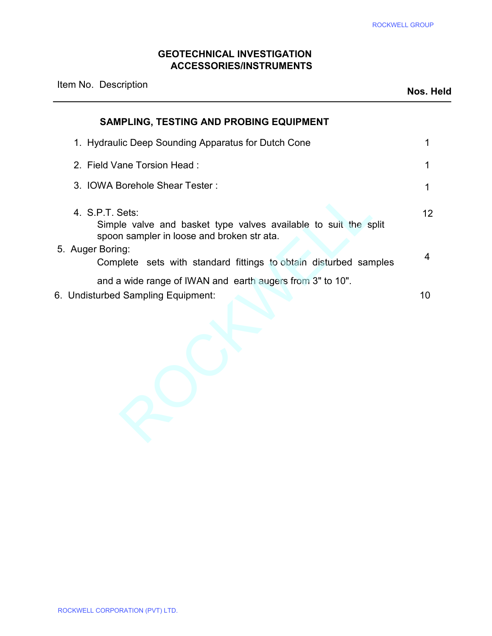#### GEOTECHNICAL INVESTIGATION ACCESSORIES/INSTRUMENTS

|                                                                                                                                  | <b>ROCKWELL GROUP</b> |
|----------------------------------------------------------------------------------------------------------------------------------|-----------------------|
| <b>GEOTECHNICAL INVESTIGATION</b><br><b>ACCESSORIES/INSTRUMENTS</b>                                                              |                       |
| Item No. Description                                                                                                             | Nos. Held             |
| SAMPLING, TESTING AND PROBING EQUIPMENT                                                                                          |                       |
| 1. Hydraulic Deep Sounding Apparatus for Dutch Cone                                                                              | 1                     |
| 2. Field Vane Torsion Head:                                                                                                      | 1                     |
| 3. IOWA Borehole Shear Tester:                                                                                                   | 1                     |
| 4. S.P.T. Sets:<br>Simple valve and basket type valves available to suit the split<br>spoon sampler in loose and broken str ata. | 12                    |
| 5. Auger Boring:<br>Complete sets with standard fittings to obtain disturbed samples                                             | 4                     |
| and a wide range of IWAN and earth augers from 3" to 10".<br>6. Undisturbed Sampling Equipment:                                  | 10                    |
|                                                                                                                                  |                       |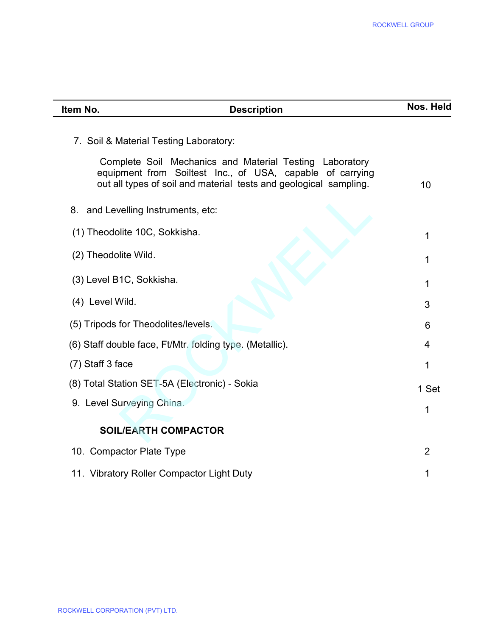| Item No.<br><b>Description</b>                                                                                                                                                            | Nos. Held      |
|-------------------------------------------------------------------------------------------------------------------------------------------------------------------------------------------|----------------|
| 7. Soil & Material Testing Laboratory:                                                                                                                                                    |                |
| Complete Soil Mechanics and Material Testing Laboratory<br>equipment from Soiltest Inc., of USA, capable of carrying<br>out all types of soil and material tests and geological sampling. | 10             |
| 8. and Levelling Instruments, etc:                                                                                                                                                        |                |
| (1) Theodolite 10C, Sokkisha.                                                                                                                                                             | 1              |
| (2) Theodolite Wild.                                                                                                                                                                      | 1              |
| (3) Level B1C, Sokkisha.                                                                                                                                                                  | 1              |
| (4) Level Wild.                                                                                                                                                                           | 3              |
| (5) Tripods for Theodolites/levels.                                                                                                                                                       | 6              |
| (6) Staff double face, Ft/Mtr. folding type. (Metallic).                                                                                                                                  | 4              |
| (7) Staff 3 face                                                                                                                                                                          | 1              |
| (8) Total Station SET-5A (Electronic) - Sokia                                                                                                                                             | 1 Set          |
| 9. Level Surveying China.                                                                                                                                                                 | 1              |
| <b>SOIL/EARTH COMPACTOR</b>                                                                                                                                                               |                |
| 10. Compactor Plate Type                                                                                                                                                                  | $\overline{2}$ |
| 11. Vibratory Roller Compactor Light Duty                                                                                                                                                 | 1              |
|                                                                                                                                                                                           |                |
|                                                                                                                                                                                           |                |
|                                                                                                                                                                                           |                |
|                                                                                                                                                                                           |                |
|                                                                                                                                                                                           |                |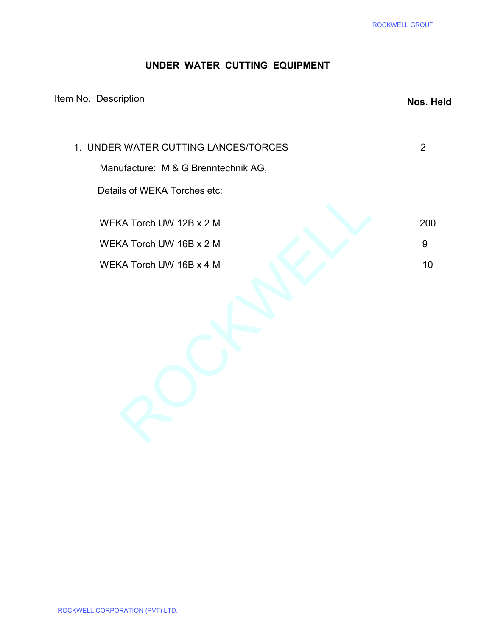### UNDER WATER CUTTING EQUIPMENT

|                                      | <b>ROCKWELL GROUP</b> |
|--------------------------------------|-----------------------|
| UNDER WATER CUTTING EQUIPMENT        |                       |
| Item No. Description                 | Nos. Held             |
| 1. UNDER WATER CUTTING LANCES/TORCES | $\overline{2}$        |
| Manufacture: M & G Brenntechnik AG,  |                       |
| Details of WEKA Torches etc:         |                       |
| WEKA Torch UW 12B x 2 M              | 200                   |
| WEKA Torch UW 16B x 2 M              | 9                     |
| WEKA Torch UW 16B x 4 M              | 10                    |
|                                      |                       |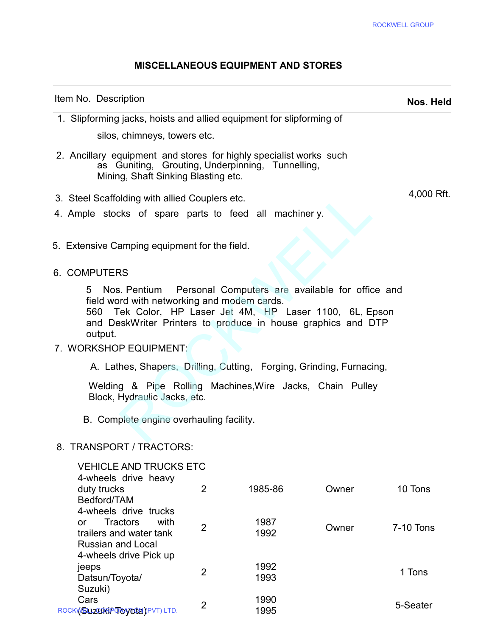4,000 Rft.

#### MISCELLANEOUS EQUIPMENT AND STORES

#### Item No. Description Nos. Held

 $\overline{\phantom{a}}$ 

 1. Slipforming jacks, hoists and allied equipment for slipforming of silos, chimneys, towers etc.

- 2. Ancillary equipment and stores for highly specialist works such as Guniting, Grouting, Underpinning, Tunnelling, Mining, Shaft Sinking Blasting etc.
- 3. Steel Scaffolding with allied Couplers etc.
- 4. Ample stocks of spare parts to feed all machiner y.
- 5. Extensive Camping equipment for the field.

#### 6. COMPUTERS

5 Nos. Pentium Personal Computers are available for office and field word with networking and modem cards.

560 Tek Color, HP Laser Jet 4M, HP Laser 1100, 6L, Epson and DeskWriter Printers to produce in house graphics and DTP output. MISCELLANEOUS EQUIPMENT AND STORES<br>
inconvention<br>
ignition<br>
ignition<br>
ignition<br>
chimneys, towers etc.<br>
upipment and stores for highly specialist works such<br>
uniting, Grouting, Underpinning, Tunnelling,<br>
ig, Shart Sinking B

#### 7. WORKSHOP EQUIPMENT:

A. Lathes, Shapers, Drilling, Cutting, Forging, Grinding, Furnacing,

Welding & Pipe Rolling Machines,Wire Jacks, Chain Pulley Block, Hydraulic Jacks, etc.

B. Complete engine overhauling facility.

#### 8. TRANSPORT / TRACTORS:

| <b>VEHICLE AND TRUCKS ETC</b><br>4-wheels drive heavy |                |         |       |                  |
|-------------------------------------------------------|----------------|---------|-------|------------------|
| duty trucks                                           | 2              | 1985-86 | Owner | 10 Tons          |
| Bedford/TAM                                           |                |         |       |                  |
| 4-wheels drive trucks                                 |                |         |       |                  |
| with<br><b>Tractors</b><br>or                         | $\overline{2}$ | 1987    | Owner | <b>7-10 Tons</b> |
| trailers and water tank                               |                | 1992    |       |                  |
| Russian and Local                                     |                |         |       |                  |
| 4-wheels drive Pick up                                |                |         |       |                  |
| jeeps                                                 |                | 1992    |       |                  |
| Datsun/Toyota/                                        | 2              | 1993    |       | 1 Tons           |
| Suzuki)                                               |                |         |       |                  |
| Cars                                                  |                | 1990    |       |                  |
| ROCKVSUZURP <b>TOVORS</b> (PVT) LTD.                  | $\overline{2}$ | 1995    |       | 5-Seater         |
|                                                       |                |         |       |                  |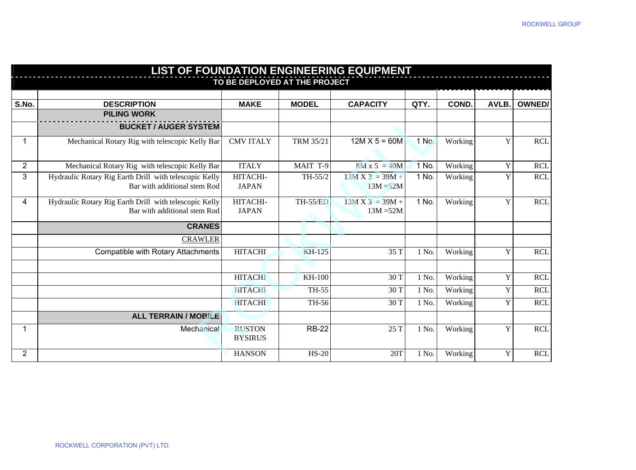| <b>LIST OF FOUNDATION ENGINEERING EQUIPMENT</b> |                                                                                        |                                 |                  |                                  |       |         |       |               |  |  |
|-------------------------------------------------|----------------------------------------------------------------------------------------|---------------------------------|------------------|----------------------------------|-------|---------|-------|---------------|--|--|
| TO BE DEPLOYED AT THE PROJECT                   |                                                                                        |                                 |                  |                                  |       |         |       |               |  |  |
|                                                 |                                                                                        |                                 |                  |                                  |       |         |       |               |  |  |
| S.No.                                           | <b>DESCRIPTION</b>                                                                     | <b>MAKE</b>                     | <b>MODEL</b>     | <b>CAPACITY</b>                  | QTY.  | COND.   | AVLB. | <b>OWNED/</b> |  |  |
|                                                 | <b>PILING WORK</b>                                                                     |                                 |                  |                                  |       |         |       |               |  |  |
|                                                 | <b>BUCKET / AUGER SYSTEM</b>                                                           |                                 |                  |                                  |       |         |       |               |  |  |
|                                                 | Mechanical Rotary Rig with telescopic Kelly Bar                                        | <b>CMV ITALY</b>                | <b>TRM 35/21</b> | $12M X 5 = 60M$                  | 1 No. | Working | Y     | <b>RCL</b>    |  |  |
| $\overline{2}$                                  | Mechanical Rotary Rig with telescopic Kelly Bar                                        | <b>ITALY</b>                    | MAIT T-9         | $8M x 5 = 40M$                   | 1 No. | Working | Y     | <b>RCL</b>    |  |  |
| 3                                               | Hydraulic Rotary Rig Earth Drill with telescopic Kelly<br>Bar with additional stem Rod | HITACHI-<br><b>JAPAN</b>        | TH-55/2          | $13M X 3 = 39M +$<br>$13M = 52M$ | 1 No. | Working | Y     | <b>RCL</b>    |  |  |
| 4                                               | Hydraulic Rotary Rig Earth Drill with telescopic Kelly<br>Bar with additional stem Rod | HITACHI-<br><b>JAPAN</b>        | <b>TH-55/ED</b>  | $13M X 3 = 39M +$<br>$13M = 52M$ | 1 No. | Working | Y     | <b>RCL</b>    |  |  |
|                                                 | <b>CRANES</b>                                                                          |                                 |                  |                                  |       |         |       |               |  |  |
|                                                 | <b>CRAWLER</b>                                                                         |                                 |                  |                                  |       |         |       |               |  |  |
|                                                 | Compatible with Rotary Attachments                                                     | <b>HITACHI</b>                  | <b>KH-125</b>    | 35 T                             | 1 No. | Working | Y     | <b>RCL</b>    |  |  |
|                                                 |                                                                                        |                                 |                  |                                  |       |         |       |               |  |  |
|                                                 |                                                                                        | <b>HITACHI</b>                  | <b>KH-100</b>    | 30 T                             | 1 No. | Working | Y     | <b>RCL</b>    |  |  |
|                                                 |                                                                                        | <b>HITACHI</b>                  | TH-55            | 30 T                             | 1 No. | Working | Y     | <b>RCL</b>    |  |  |
|                                                 |                                                                                        | <b>HITACHI</b>                  | TH-56            | 30 T                             | 1 No. | Working | Y     | <b>RCL</b>    |  |  |
|                                                 | <b>ALL TERRAIN / MOBILE</b>                                                            |                                 |                  |                                  |       |         |       |               |  |  |
| 1                                               | Mechanical                                                                             | <b>RUSTON</b><br><b>BYSIRUS</b> | <b>RB-22</b>     | 25 T                             | 1 No. | Working | Y     | <b>RCL</b>    |  |  |
| $\overline{2}$                                  |                                                                                        | <b>HANSON</b>                   | <b>HS-20</b>     | 20T                              | 1 No. | Working | Y     | <b>RCL</b>    |  |  |